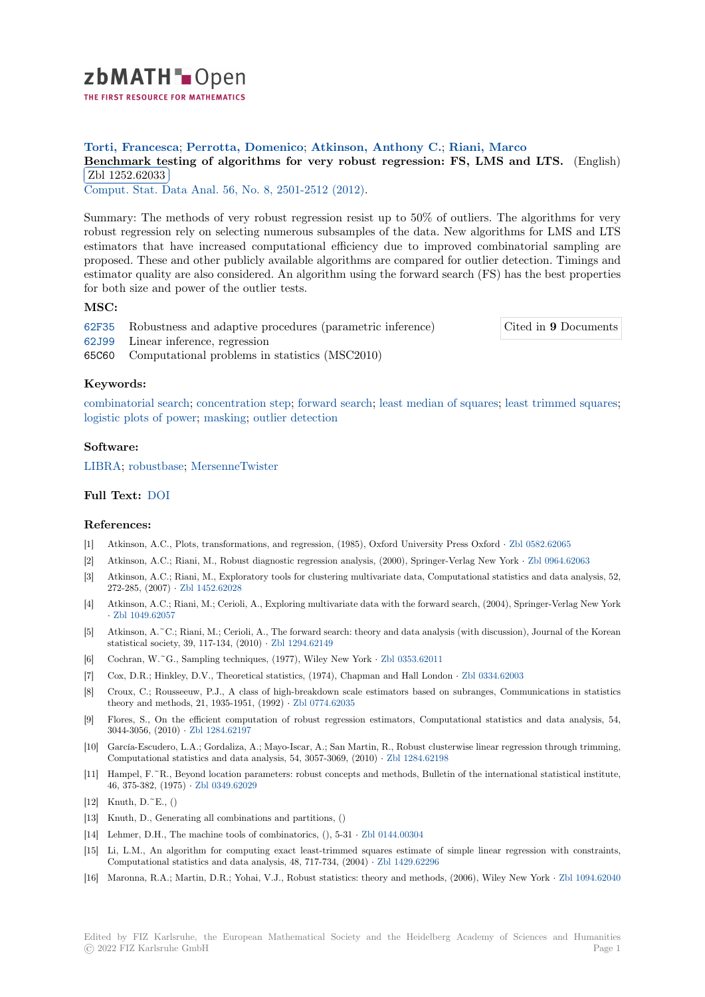

# **Torti, Francesca**; **Perrotta, Domenico**; **Atkinson, Anthony C.**; **Riani, Marco**

**[B](https://zbmath.org/)enchmark testing of algorithms for very robust regression: FS, LMS and LTS.** (English) Zbl 1252.62033

**Comput. Stat. Data Anal. 56, No. 8, 2501-2512 (2012).** 

[Summary: The methods of very robust regression resist up to 50% of outliers. The algorithm](https://zbmath.org/1252.62033)s for very [robust regression](https://zbmath.org/1252.62033) rely on selecting numerous subsamples of the data. New algorithms for LMS and LTS [estimators that have incr](https://zbmath.org/journals/?q=se:1714)[eased computational efficien](https://zbmath.org/?q=in:298106)cy due to improved combinatorial sampling are proposed. These and other publicly available algorithms are compared for outlier detection. Timings and estimator quality are also considered. An algorithm using the forward search (FS) has the best properties for both size and power of the outlier tests.

### **MSC:**

62F35 Robustness and adaptive procedures (parametric inference) Cited in **9** Documents

- 62J99 Linear inference, regression
- 65C60 Computational problems in statistics (MSC2010)

### **[Keyw](https://zbmath.org/classification/?q=cc:62F35)ords:**

[combin](https://zbmath.org/classification/?q=cc:62J99)atorial search; concentration step; forward search; least median of squares; least trimmed squares; logistic plots of power; masking; outlier detection

## **Software:**

LIBRA; [robustbase;](https://zbmath.org/?q=ut:combinatorial+search) [MersenneTwister](https://zbmath.org/?q=ut:concentration+step)

## **Full Text:** DOI

#### **[Refere](https://swmath.org/software/10553)[nces:](https://swmath.org/software/7114)**

- [1] Atkinson, A.C., Plots, transformations, and regression, (1985), Oxford University Press Oxford *·* Zbl 0582.62065
- [2] Atkinson, [A.C.](https://dx.doi.org/10.1016/j.csda.2012.02.003); Riani, M., Robust diagnostic regression analysis, (2000), Springer-Verlag New York *·* Zbl 0964.62063
- [3] Atkinson, A.C.; Riani, M., Exploratory tools for clustering multivariate data, Computational statistics and data analysis, 52, 272-285, (2007) *·* Zbl 1452.62028
- [4] Atkinson, A.C.; Riani, M.; Cerioli, A., Exploring multivariate data with the forward search, (2004)[, Springer-Verla](https://zbmath.org/0582.62065)g New York *·* Zbl 1049.62057
- [5] Atkinson, A.~C.; Riani, M.; Cerioli, A., The forward search: theory and data analysis (with discussion), Journal of the Korean statistical society[, 39, 117-134, \(2](https://zbmath.org/1452.62028)010) *·* Zbl 1294.62149
- [6] Cochran, W.~G., Sampling techniques, (1977), Wiley New York *·* Zbl 0353.62011
- [7] [Cox, D.R.; Hinkl](https://zbmath.org/1049.62057)ey, D.V., Theoretical statistics, (1974), Chapman and Hall London *·* Zbl 0334.62003
- [8] Croux, C.; Rousseeuw, P.J., A class of high-breakdown scale estimators based on subranges, Communications in statistics theory and methods, 21, 1935-1951, (1992) *·* [Zbl 0774.6](https://zbmath.org/1294.62149)2035
- [9] Flores, S., On the efficient computation of robust regression es[timators, Comp](https://zbmath.org/0353.62011)utational statistics and data analysis, 54, 3044-3056, (2010) *·* Zbl 1284.62197
- [10] García-Escudero, L.A.; Gordaliza, A.; Mayo-Iscar, A.; San Martin, R., Robust clusterwise linear regression through trimming, Computational statistics and data analysis, [54, 3057-3069, \(](https://zbmath.org/0774.62035)2010) *·* Zbl 1284.62198
- [11] Hampel, F.<sup>~</sup>R., Beyond location parameters: robust concepts and methods, Bulletin of the international statistical institute, 46, 375-382, (1975) *·* [Zbl 0349.6202](https://zbmath.org/1284.62197)9
- [12] Knuth, D.~E., ()
- [13] Knuth, D., Generating all combinations and partitions, ()
- [14] Lehmer, D.H., The machine tools of combinatorics, (), 5-31 *·* Zbl 0144.00304
- [15] Li, L.M., An algorit[hm for comput](https://zbmath.org/0349.62029)ing exact least-trimmed squares estimate of simple linear regression with constraints, Computational statistics and data analysis, 48, 717-734, (2004) *·* Zbl 1429.62296
- [16] Maronna, R.A.; Martin, D.R.; Yohai, V.J., Robust statistics: theory and methods, (2006), Wiley New York *·* Zbl 1094.62040